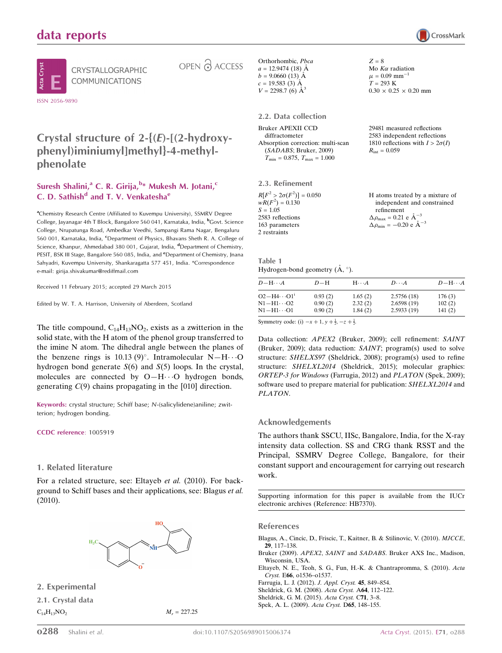# data reports





CRYSTALLOGRAPHIC **COMMUNICATIONS** 

OPEN & ACCESS

Crystal structure of  $2-\{(E)-[(2-hydroxy$ phenyl)iminiumyl]methyl}-4-methylphenolate

#### Suresh Shalini,<sup>a</sup> C. R. Girija,<sup>b</sup>\* Mukesh M. Jotani,<sup>c</sup> C. D. Sathish<sup>d</sup> and T. V. Venkatesha<sup>e</sup>

<sup>a</sup>Chemistry Research Centre (Affiliated to Kuvempu University), SSMRV Degree College, Jayanagar 4th T Block, Bangalore 560 041, Karnataka, India, <sup>b</sup>Govt. Science College, Nrupatunga Road, Ambedkar Veedhi, Sampangi Rama Nagar, Bengaluru 560 001, Karnataka, India, <sup>c</sup>Department of Physics, Bhavans Sheth R. A. College of Science, Khanpur, Ahmedabad 380 001, Gujarat, India, <sup>d</sup>Department of Chemistry, PESIT, BSK III Stage, Bangalore 560 085, India, and <sup>e</sup>Department of Chemistry, Jnana Sahyadri, Kuvempu University, Shankaragatta 577 451, India. \*Correspondence e-mail: girija.shivakumar@rediffmail.com

Received 11 February 2015; accepted 29 March 2015

Edited by W. T. A. Harrison, University of Aberdeen, Scotland

The title compound,  $C_{14}H_{13}NO_2$ , exists as a zwitterion in the solid state, with the H atom of the phenol group transferred to the imine N atom. The dihedral angle between the planes of the benzene rings is  $10.13 (9)^\circ$ . Intramolecular N-H $\cdots$ O hydrogen bond generate  $S(6)$  and  $S(5)$  loops. In the crystal, molecules are connected by  $O-H \cdot \cdot \cdot O$  hydrogen bonds, generating  $C(9)$  chains propagating in the [010] direction.

Keywords: crystal structure; Schiff base; N-(salicylidene)aniline; zwitterion; hydrogen bonding.

#### CCDC reference: 1005919

#### 1. Related literature

For a related structure, see: Eltayeb et al. (2010). For background to Schiff bases and their applications, see: Blagus et al. (2010).



2. Experimental

2.1. Crystal data  $C_{14}H_{13}NO_2$   $M_r = 227.25$ 

Orthorhombic, Pbca  $a = 12.9474(18)$  Å  $b = 9.0660(13)$  Å  $c = 19.583(3)$  Å  $V = 2298.7$  (6)  $\AA^3$ 

#### 2.2. Data collection

Bruker APEXII CCD diffractometer Absorption correction: multi-scan (SADABS; Bruker, 2009)  $T_{\min} = 0.875, T_{\max} = 1.000$ 

2.3. Refinement

| $R[F^2 > 2\sigma(F^2)] = 0.050$ | H atoms treated by a mixture of                     |
|---------------------------------|-----------------------------------------------------|
| $wR(F^2) = 0.130$               | independent and constrained                         |
| $S = 1.05$                      | refinement                                          |
| 2583 reflections                | $\Delta \rho_{\text{max}} = 0.21 \text{ e A}^{-3}$  |
| 163 parameters                  | $\Delta \rho_{\text{min}} = -0.20 \text{ e A}^{-3}$ |
| 2 restraints                    |                                                     |

 $Z = 8$ 

Mo  $K\alpha$  radiation  $\mu = 0.09$  mm<sup>-1</sup>  $T = 293 K$ 

 $R_{\text{int}} = 0.059$ 

 $0.30 \times 0.25 \times 0.20$  mm

29481 measured reflections 2583 independent reflections 1810 reflections with  $I > 2\sigma(I)$ 

Table 1 Hydrogen-bond geometry  $(\AA, \degree)$ .

| $D - H \cdots A$      | $D-H$   | $H\cdots A$ | $D\cdots A$ | $D - H \cdots A$ |
|-----------------------|---------|-------------|-------------|------------------|
| $O2 - H4 \cdots O1^1$ | 0.93(2) | 1.65(2)     | 2.5756(18)  | 176(3)           |
| $N1 - H1 \cdots O2$   | 0.90(2) | 2.32(2)     | 2.6598(19)  | 102(2)           |
| N1−H1…O1              | 0.90(2) | 1.84(2)     | 2.5933(19)  | 141(2)           |

Symmetry code: (i)  $-x + 1$ ,  $y + \frac{1}{2}$ ,  $-z + \frac{1}{2}$ .

Data collection: APEX2 (Bruker, 2009); cell refinement: SAINT (Bruker, 2009); data reduction: SAINT; program(s) used to solve structure: SHELXS97 (Sheldrick, 2008); program(s) used to refine structure: SHELXL2014 (Sheldrick, 2015); molecular graphics: ORTEP-3 for Windows (Farrugia, 2012) and PLATON (Spek, 2009); software used to prepare material for publication: SHELXL2014 and PLATON.

#### Acknowledgements

The authors thank SSCU, IISc, Bangalore, India, for the X-ray intensity data collection. SS and CRG thank RSST and the Principal, SSMRV Degree College, Bangalore, for their constant support and encouragement for carrying out research work.

Supporting information for this paper is available from the IUCr electronic archives (Reference: HB7370).

#### References

- [Blagus, A., Cincic, D., Friscic, T., Kaitner, B. & Stilinovic, V. \(2010\).](http://scripts.iucr.org/cgi-bin/cr.cgi?rm=pdfbb&cnor=hb7370&bbid=BB1) MJCCE, 29[, 117–138.](http://scripts.iucr.org/cgi-bin/cr.cgi?rm=pdfbb&cnor=hb7370&bbid=BB1)
- Bruker (2009). APEX2, SAINT and SADABS[. Bruker AXS Inc., Madison,](http://scripts.iucr.org/cgi-bin/cr.cgi?rm=pdfbb&cnor=hb7370&bbid=BB2) [Wisconsin, USA.](http://scripts.iucr.org/cgi-bin/cr.cgi?rm=pdfbb&cnor=hb7370&bbid=BB2)
- [Eltayeb, N. E., Teoh, S. G., Fun, H.-K. & Chantrapromma, S. \(2010\).](http://scripts.iucr.org/cgi-bin/cr.cgi?rm=pdfbb&cnor=hb7370&bbid=BB3) Acta Cryst. E66[, o1536–o1537.](http://scripts.iucr.org/cgi-bin/cr.cgi?rm=pdfbb&cnor=hb7370&bbid=BB3)
- [Farrugia, L. J. \(2012\).](http://scripts.iucr.org/cgi-bin/cr.cgi?rm=pdfbb&cnor=hb7370&bbid=BB4) J. Appl. Cryst. 45, 849–854.
- [Sheldrick, G. M. \(2008\).](http://scripts.iucr.org/cgi-bin/cr.cgi?rm=pdfbb&cnor=hb7370&bbid=BB5) Acta Cryst. A64, 112–122.
- [Sheldrick, G. M. \(2015\).](http://scripts.iucr.org/cgi-bin/cr.cgi?rm=pdfbb&cnor=hb7370&bbid=BB6) Acta Cryst. C71, 3–8.

[Spek, A. L. \(2009\).](http://scripts.iucr.org/cgi-bin/cr.cgi?rm=pdfbb&cnor=hb7370&bbid=BB7) Acta Cryst. D65, 148–155.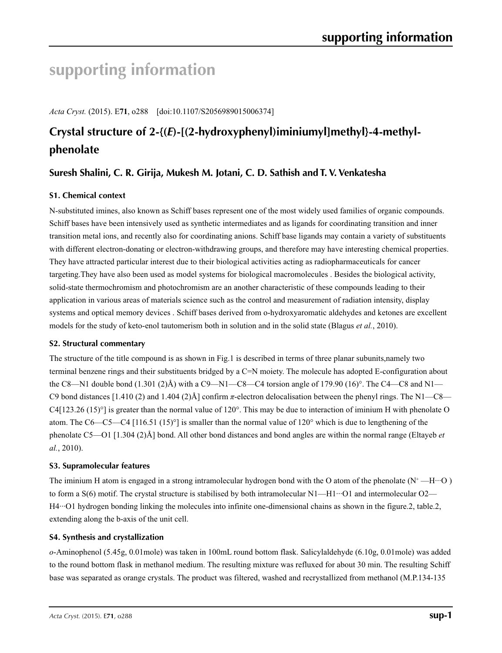# **supporting information**

*Acta Cryst.* (2015). E**71**, o288 [doi:10.1107/S2056989015006374]

# **Crystal structure of 2-{(***E***)-[(2-hydroxyphenyl)iminiumyl]methyl}-4-methylphenolate**

# **Suresh Shalini, C. R. Girija, Mukesh M. Jotani, C. D. Sathish and T. V. Venkatesha**

### **S1. Chemical context**

N-substituted imines, also known as Schiff bases represent one of the most widely used families of organic compounds. Schiff bases have been intensively used as synthetic intermediates and as ligands for coordinating transition and inner transition metal ions, and recently also for coordinating anions. Schiff base ligands may contain a variety of substituents with different electron-donating or electron-withdrawing groups, and therefore may have interesting chemical properties. They have attracted particular interest due to their biological activities acting as radiopharmaceuticals for cancer targeting.They have also been used as model systems for biological macromolecules . Besides the biological activity, solid-state thermochromism and photochromism are an another characteristic of these compounds leading to their application in various areas of materials science such as the control and measurement of radiation intensity, display systems and optical memory devices . Schiff bases derived from o-hydroxyaromatic aldehydes and ketones are excellent models for the study of keto-enol tautomerism both in solution and in the solid state (Blagus *et al.*, 2010).

#### **S2. Structural commentary**

The structure of the title compound is as shown in Fig.1 is described in terms of three planar subunits,namely two terminal benzene rings and their substituents bridged by a C=N moiety. The molecule has adopted E-configuration about the C8—N1 double bond  $(1.301 \text{ (2)}\text{Å})$  with a C9—N1—C8—C4 torsion angle of 179.90  $(16)^\circ$ . The C4—C8 and N1— C9 bond distances [1.410 (2) and 1.404 (2)Å] confirm *π*-electron delocalisation between the phenyl rings. The N1—C8— C4 $[123.26 (15)^\circ]$  is greater than the normal value of  $120^\circ$ . This may be due to interaction of iminium H with phenolate O atom. The C6—C5—C4 [116.51 (15)<sup>°</sup>] is smaller than the normal value of 120<sup>°</sup> which is due to lengthening of the phenolate C5—O1 [1.304 (2)Å] bond. All other bond distances and bond angles are within the normal range (Eltayeb *et al.*, 2010).

#### **S3. Supramolecular features**

The iminium H atom is engaged in a strong intramolecular hydrogen bond with the O atom of the phenolate  $(N^+$ —H $\cdots$ O) to form a  $S(6)$  motif. The crystal structure is stabilised by both intramolecular  $N1$ —H $1 \cdot \cdot \cdot$ O1 and intermolecular O2— H4···O1 hydrogen bonding linking the molecules into infinite one-dimensional chains as shown in the figure.2, table.2, extending along the b-axis of the unit cell.

#### **S4. Synthesis and crystallization**

*o*-Aminophenol (5.45g, 0.01mole) was taken in 100mL round bottom flask. Salicylaldehyde (6.10g, 0.01mole) was added to the round bottom flask in methanol medium. The resulting mixture was refluxed for about 30 min. The resulting Schiff base was separated as orange crystals. The product was filtered, washed and recrystallized from methanol (M.P.134-135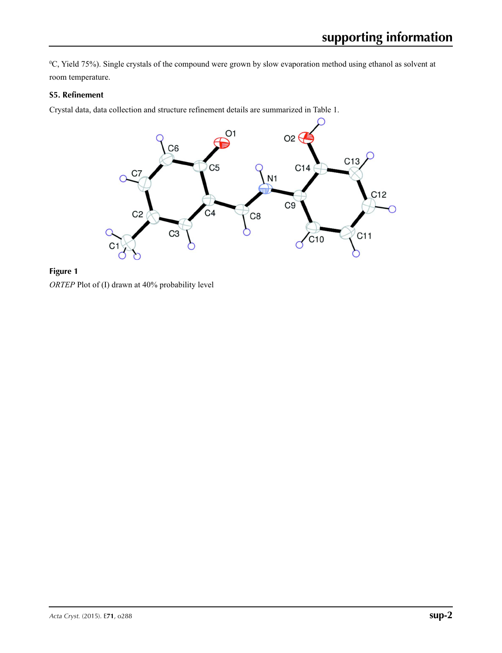0 C, Yield 75%). Single crystals of the compound were grown by slow evaporation method using ethanol as solvent at room temperature.

#### **S5. Refinement**

Crystal data, data collection and structure refinement details are summarized in Table 1.



**Figure 1** *ORTEP* Plot of (I) drawn at 40% probability level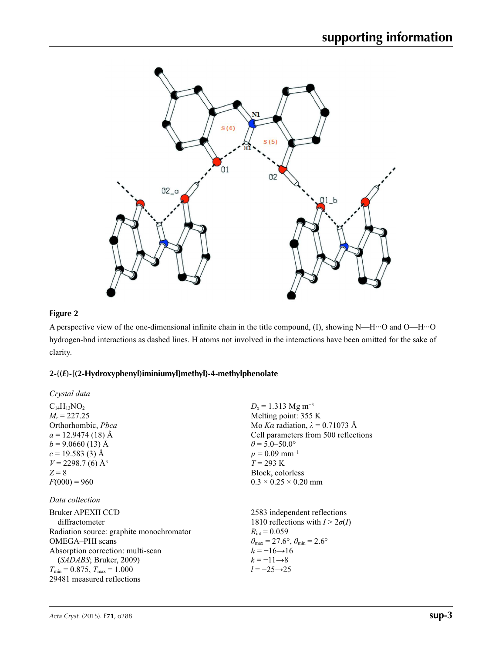

## **Figure 2**

A perspective view of the one-dimensional infinite chain in the title compound, (I), showing N—H···O and O—H···O hydrogen-bnd interactions as dashed lines. H atoms not involved in the interactions have been omitted for the sake of clarity.

## **2-{(***E***)-[(2-Hydroxyphenyl)iminiumyl]methyl}-4-methylphenolate**

| Crystal data                                                                                                                                                                                                                              |                                                                                                                                                                                                                                                                                    |
|-------------------------------------------------------------------------------------------------------------------------------------------------------------------------------------------------------------------------------------------|------------------------------------------------------------------------------------------------------------------------------------------------------------------------------------------------------------------------------------------------------------------------------------|
| $C_{14}H_{13}NO_2$<br>$M_r = 227.25$<br>Orthorhombic, Pbca<br>$a = 12.9474(18)$ Å<br>$b = 9.0660(13)$ Å<br>$c = 19.583(3)$ Å<br>$V = 2298.7$ (6) Å <sup>3</sup><br>$Z=8$<br>$F(000) = 960$                                                | $D_x = 1.313$ Mg m <sup>-3</sup><br>Melting point: 355 K<br>Mo Ka radiation, $\lambda = 0.71073$ Å<br>Cell parameters from 500 reflections<br>$\theta$ = 5.0–50.0°<br>$\mu = 0.09$ mm <sup>-1</sup><br>$T = 293 \text{ K}$<br>Block, colorless<br>$0.3 \times 0.25 \times 0.20$ mm |
| Data collection                                                                                                                                                                                                                           |                                                                                                                                                                                                                                                                                    |
| Bruker APEXII CCD<br>diffractometer<br>Radiation source: graphite monochromator<br>OMEGA-PHI scans<br>Absorption correction: multi-scan<br>(SADABS; Bruker, 2009)<br>$T_{\min}$ = 0.875, $T_{\max}$ = 1.000<br>29481 measured reflections | 2583 independent reflections<br>1810 reflections with $I > 2\sigma(I)$<br>$R_{\rm int} = 0.059$<br>$\theta_{\text{max}} = 27.6^{\circ}, \theta_{\text{min}} = 2.6^{\circ}$<br>$h = -16 \rightarrow 16$<br>$k=-11\rightarrow 8$<br>$l = -25 \rightarrow 25$                         |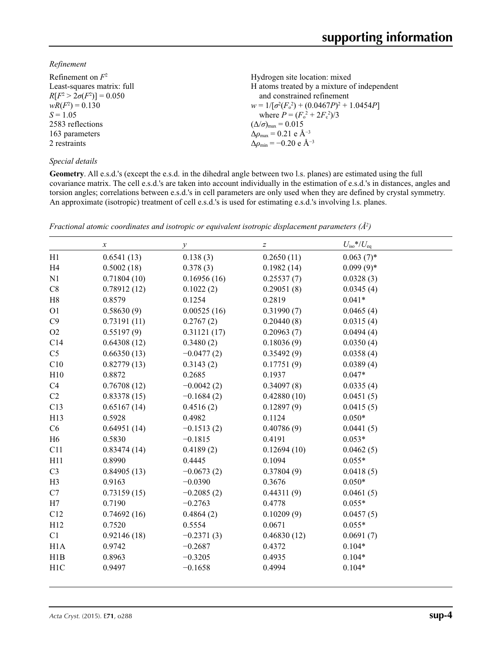#### *Refinement*

| Refinement on $F^2$             | Hydrogen site location: mixed                      |
|---------------------------------|----------------------------------------------------|
| Least-squares matrix: full      | H atoms treated by a mixture of independent        |
| $R[F^2 > 2\sigma(F^2)] = 0.050$ | and constrained refinement                         |
| $wR(F^2) = 0.130$               | $w = 1/[\sigma^2(F_0^2) + (0.0467P)^2 + 1.0454P]$  |
| $S = 1.05$                      | where $P = (F_o^2 + 2F_c^2)/3$                     |
| 2583 reflections                | $(\Delta/\sigma)_{\text{max}} = 0.015$             |
| 163 parameters                  | $\Delta\rho_{\text{max}}$ = 0.21 e Å <sup>-3</sup> |
| 2 restraints                    | $\Delta\rho_{\rm min} = -0.20 \text{ e A}^{-3}$    |
|                                 |                                                    |

#### *Special details*

**Geometry**. All e.s.d.'s (except the e.s.d. in the dihedral angle between two l.s. planes) are estimated using the full covariance matrix. The cell e.s.d.'s are taken into account individually in the estimation of e.s.d.'s in distances, angles and torsion angles; correlations between e.s.d.'s in cell parameters are only used when they are defined by crystal symmetry. An approximate (isotropic) treatment of cell e.s.d.'s is used for estimating e.s.d.'s involving l.s. planes.

|                | $\boldsymbol{\chi}$ | $\mathcal{Y}$ | $\boldsymbol{Z}$ | $U_{\rm iso}*/U_{\rm eq}$ |
|----------------|---------------------|---------------|------------------|---------------------------|
| H1             | 0.6541(13)          | 0.138(3)      | 0.2650(11)       | $0.063(7)$ *              |
| H <sub>4</sub> | 0.5002(18)          | 0.378(3)      | 0.1982(14)       | $0.099(9)*$               |
| N1             | 0.71804(10)         | 0.16956(16)   | 0.25537(7)       | 0.0328(3)                 |
| $\rm{C}8$      | 0.78912(12)         | 0.1022(2)     | 0.29051(8)       | 0.0345(4)                 |
| H <sub>8</sub> | 0.8579              | 0.1254        | 0.2819           | $0.041*$                  |
| O <sub>1</sub> | 0.58630(9)          | 0.00525(16)   | 0.31990(7)       | 0.0465(4)                 |
| C9             | 0.73191(11)         | 0.2767(2)     | 0.20440(8)       | 0.0315(4)                 |
| O2             | 0.55197(9)          | 0.31121(17)   | 0.20963(7)       | 0.0494(4)                 |
| C14            | 0.64308(12)         | 0.3480(2)     | 0.18036(9)       | 0.0350(4)                 |
| C <sub>5</sub> | 0.66350(13)         | $-0.0477(2)$  | 0.35492(9)       | 0.0358(4)                 |
| C10            | 0.82779(13)         | 0.3143(2)     | 0.17751(9)       | 0.0389(4)                 |
| H10            | 0.8872              | 0.2685        | 0.1937           | $0.047*$                  |
| C4             | 0.76708(12)         | $-0.0042(2)$  | 0.34097(8)       | 0.0335(4)                 |
| C <sub>2</sub> | 0.83378(15)         | $-0.1684(2)$  | 0.42880(10)      | 0.0451(5)                 |
| C13            | 0.65167(14)         | 0.4516(2)     | 0.12897(9)       | 0.0415(5)                 |
| H13            | 0.5928              | 0.4982        | 0.1124           | $0.050*$                  |
| C6             | 0.64951(14)         | $-0.1513(2)$  | 0.40786(9)       | 0.0441(5)                 |
| H <sub>6</sub> | 0.5830              | $-0.1815$     | 0.4191           | $0.053*$                  |
| C11            | 0.83474(14)         | 0.4189(2)     | 0.12694(10)      | 0.0462(5)                 |
| H11            | 0.8990              | 0.4445        | 0.1094           | $0.055*$                  |
| C <sub>3</sub> | 0.84905(13)         | $-0.0673(2)$  | 0.37804(9)       | 0.0418(5)                 |
| H <sub>3</sub> | 0.9163              | $-0.0390$     | 0.3676           | $0.050*$                  |
| C7             | 0.73159(15)         | $-0.2085(2)$  | 0.44311(9)       | 0.0461(5)                 |
| H7             | 0.7190              | $-0.2763$     | 0.4778           | $0.055*$                  |
| C12            | 0.74692(16)         | 0.4864(2)     | 0.10209(9)       | 0.0457(5)                 |
| H12            | 0.7520              | 0.5554        | 0.0671           | $0.055*$                  |
| C1             | 0.92146(18)         | $-0.2371(3)$  | 0.46830(12)      | 0.0691(7)                 |
| H1A            | 0.9742              | $-0.2687$     | 0.4372           | $0.104*$                  |
| H1B            | 0.8963              | $-0.3205$     | 0.4935           | $0.104*$                  |
| H1C            | 0.9497              | $-0.1658$     | 0.4994           | $0.104*$                  |

*Fractional atomic coordinates and isotropic or equivalent isotropic displacement parameters (Å<sup>2</sup>)*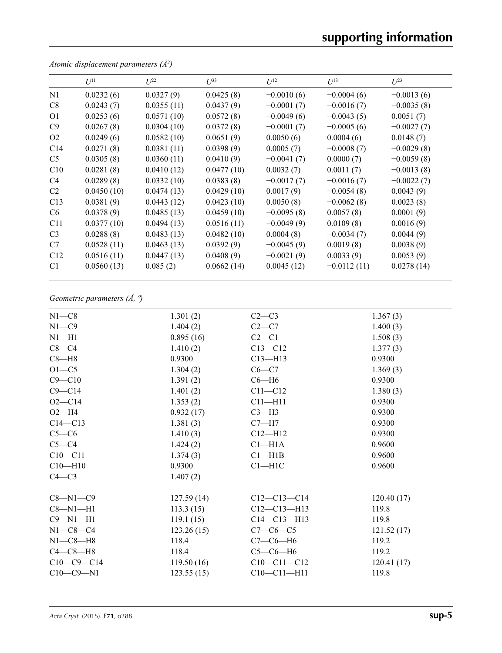# **supporting information**

|                 | $U^{11}$   | $L^{22}$   | $\mathcal{I}^{\beta 3}$ | $U^{12}$     | $U^{13}$      | $U^{23}$     |
|-----------------|------------|------------|-------------------------|--------------|---------------|--------------|
| N1              | 0.0232(6)  | 0.0327(9)  | 0.0425(8)               | $-0.0010(6)$ | $-0.0004(6)$  | $-0.0013(6)$ |
| C8              | 0.0243(7)  | 0.0355(11) | 0.0437(9)               | $-0.0001(7)$ | $-0.0016(7)$  | $-0.0035(8)$ |
| O <sub>1</sub>  | 0.0253(6)  | 0.0571(10) | 0.0572(8)               | $-0.0049(6)$ | $-0.0043(5)$  | 0.0051(7)    |
| C9              | 0.0267(8)  | 0.0304(10) | 0.0372(8)               | $-0.0001(7)$ | $-0.0005(6)$  | $-0.0027(7)$ |
| O <sub>2</sub>  | 0.0249(6)  | 0.0582(10) | 0.0651(9)               | 0.0050(6)    | 0.0004(6)     | 0.0148(7)    |
| C <sub>14</sub> | 0.0271(8)  | 0.0381(11) | 0.0398(9)               | 0.0005(7)    | $-0.0008(7)$  | $-0.0029(8)$ |
| C5              | 0.0305(8)  | 0.0360(11) | 0.0410(9)               | $-0.0041(7)$ | 0.0000(7)     | $-0.0059(8)$ |
| C10             | 0.0281(8)  | 0.0410(12) | 0.0477(10)              | 0.0032(7)    | 0.0011(7)     | $-0.0013(8)$ |
| C4              | 0.0289(8)  | 0.0332(10) | 0.0383(8)               | $-0.0017(7)$ | $-0.0016(7)$  | $-0.0022(7)$ |
| C2              | 0.0450(10) | 0.0474(13) | 0.0429(10)              | 0.0017(9)    | $-0.0054(8)$  | 0.0043(9)    |
| C13             | 0.0381(9)  | 0.0443(12) | 0.0423(10)              | 0.0050(8)    | $-0.0062(8)$  | 0.0023(8)    |
| C <sub>6</sub>  | 0.0378(9)  | 0.0485(13) | 0.0459(10)              | $-0.0095(8)$ | 0.0057(8)     | 0.0001(9)    |
| C11             | 0.0377(10) | 0.0494(13) | 0.0516(11)              | $-0.0049(9)$ | 0.0109(8)     | 0.0016(9)    |
| C <sub>3</sub>  | 0.0288(8)  | 0.0483(13) | 0.0482(10)              | 0.0004(8)    | $-0.0034(7)$  | 0.0044(9)    |
| C7              | 0.0528(11) | 0.0463(13) | 0.0392(9)               | $-0.0045(9)$ | 0.0019(8)     | 0.0038(9)    |
| C12             | 0.0516(11) | 0.0447(13) | 0.0408(9)               | $-0.0021(9)$ | 0.0033(9)     | 0.0053(9)    |
| C <sub>1</sub>  | 0.0560(13) | 0.085(2)   | 0.0662(14)              | 0.0045(12)   | $-0.0112(11)$ | 0.0278(14)   |

*Atomic displacement parameters (Å2 )*

# *Geometric parameters (Å, º)*

| $N1 - C8$      | 1.301(2)   | $C2-C3$           | 1.367(3)   |
|----------------|------------|-------------------|------------|
| $N1 - C9$      | 1.404(2)   | $C2-C7$           | 1.400(3)   |
| $N1 - H1$      | 0.895(16)  | $C2-C1$           | 1.508(3)   |
| $C8 - C4$      | 1.410(2)   | $C13 - C12$       | 1.377(3)   |
| $C8 - H8$      | 0.9300     | $C13 - H13$       | 0.9300     |
| $O1-C5$        | 1.304(2)   | $C6-C7$           | 1.369(3)   |
| $C9 - C10$     | 1.391(2)   | $C6 - H6$         | 0.9300     |
| $C9 - C14$     | 1.401(2)   | $C11 - C12$       | 1.380(3)   |
| $O2 - C14$     | 1.353(2)   | $C11 - H11$       | 0.9300     |
| $O2-H4$        | 0.932(17)  | $C3-H3$           | 0.9300     |
| $C14 - C13$    | 1.381(3)   | $C7 - H7$         | 0.9300     |
| $C5-C6$        | 1.410(3)   | $C12 - H12$       | 0.9300     |
| $C5-C4$        | 1.424(2)   | $Cl-H1A$          | 0.9600     |
| $C10 - C11$    | 1.374(3)   | Cl—H1B            | 0.9600     |
| $C10 - H10$    | 0.9300     | $C1 - H1C$        | 0.9600     |
| $C4-C3$        | 1.407(2)   |                   |            |
| $C8 - N1 - C9$ | 127.59(14) | $C12-C13-C14$     | 120.40(17) |
| $C8 - N1 - H1$ | 113.3(15)  | $C12 - C13 - H13$ | 119.8      |
| $C9 - N1 - H1$ | 119.1(15)  | $C14 - C13 - H13$ | 119.8      |
| $N1-C8-C4$     | 123.26(15) | $C7-C6-C5$        | 121.52(17) |
| $N1-C8-H8$     | 118.4      | $C7-C6-H6$        | 119.2      |
| $C4-C8-H8$     | 118.4      | $C5-C6-H6$        | 119.2      |
| $C10-C9-C14$   | 119.50(16) | $C10-C11-C12$     | 120.41(17) |
| $C10-C9-N1$    | 123.55(15) | $C10-C11-H11$     | 119.8      |